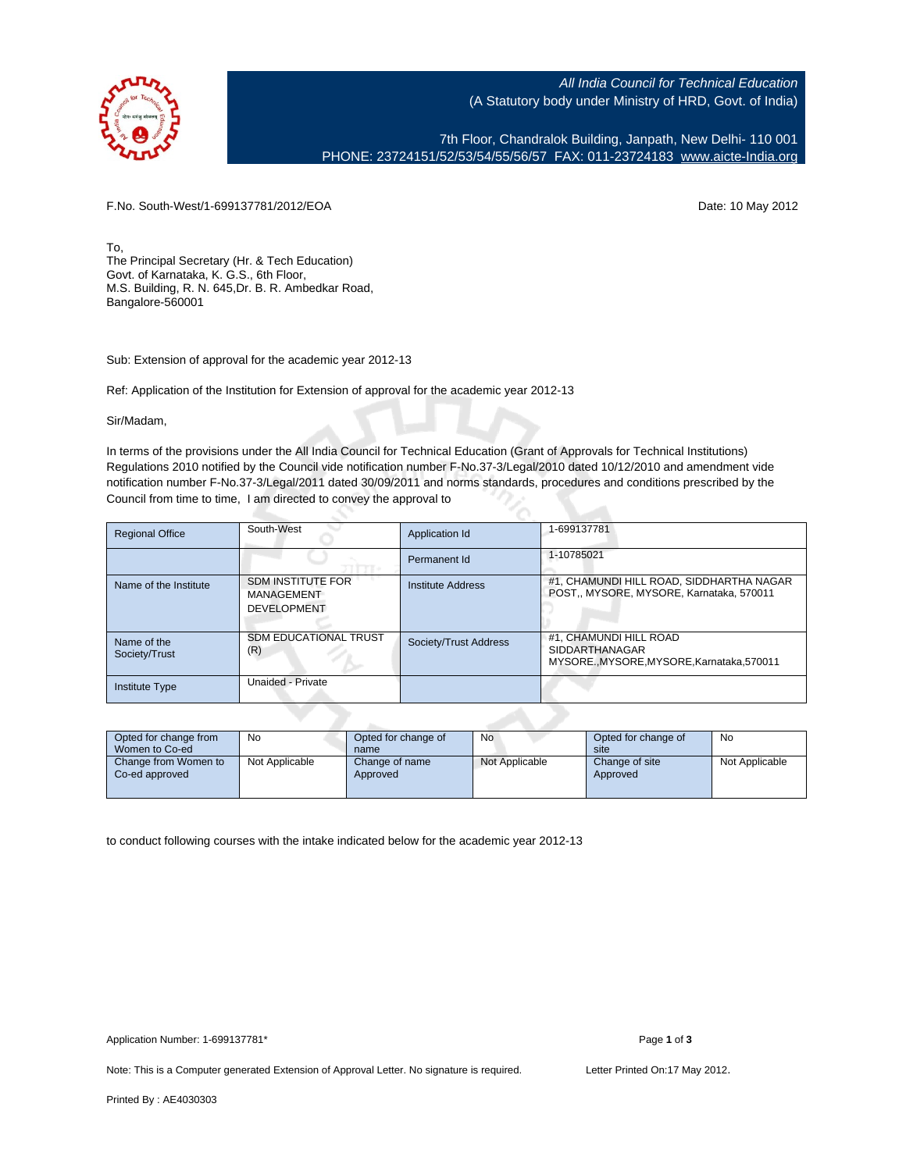

All India Council for Technical Education (A Statutory body under Ministry of HRD, Govt. of India)

7th Floor, Chandralok Building, Janpath, New Delhi- 110 001 PHONE: 23724151/52/53/54/55/56/57 FAX: 011-23724183 [www.aicte-India.org](http://www.aicte-India.org)

F.No. South-West/1-699137781/2012/EOA Date: 10 May 2012

To, The Principal Secretary (Hr. & Tech Education) Govt. of Karnataka, K. G.S., 6th Floor, M.S. Building, R. N. 645,Dr. B. R. Ambedkar Road, Bangalore-560001

Sub: Extension of approval for the academic year 2012-13

Ref: Application of the Institution for Extension of approval for the academic year 2012-13

Sir/Madam,

In terms of the provisions under the All India Council for Technical Education (Grant of Approvals for Technical Institutions) Regulations 2010 notified by the Council vide notification number F-No.37-3/Legal/2010 dated 10/12/2010 and amendment vide notification number F-No.37-3/Legal/2011 dated 30/09/2011 and norms standards, procedures and conditions prescribed by the Council from time to time, I am directed to convey the approval to

| <b>Regional Office</b>       | South-West                                                   | Application Id        | 1-699137781                                                                             |
|------------------------------|--------------------------------------------------------------|-----------------------|-----------------------------------------------------------------------------------------|
|                              |                                                              | Permanent Id          | 1-10785021                                                                              |
| Name of the Institute        | <b>SDM INSTITUTE FOR</b><br>MANAGEMENT<br><b>DEVELOPMENT</b> | Institute Address     | #1, CHAMUNDI HILL ROAD, SIDDHARTHA NAGAR<br>POST., MYSORE, MYSORE, Karnataka, 570011    |
| Name of the<br>Society/Trust | <b>SDM EDUCATIONAL TRUST</b><br>(R)                          | Society/Trust Address | #1. CHAMUNDI HILL ROAD<br><b>SIDDARTHANAGAR</b><br>MYSOREMYSORE.MYSORE.Karnataka.570011 |
| <b>Institute Type</b>        | Unaided - Private                                            |                       |                                                                                         |

| Opted for change from<br>Women to Co-ed | No             | Opted for change of<br>name | No             | Opted for change of<br>site | No             |
|-----------------------------------------|----------------|-----------------------------|----------------|-----------------------------|----------------|
| Change from Women to<br>Co-ed approved  | Not Applicable | Change of name<br>Approved  | Not Applicable | Change of site<br>Approved  | Not Applicable |

to conduct following courses with the intake indicated below for the academic year 2012-13

Note: This is a Computer generated Extension of Approval Letter. No signature is required. Letter Printed On:17 May 2012.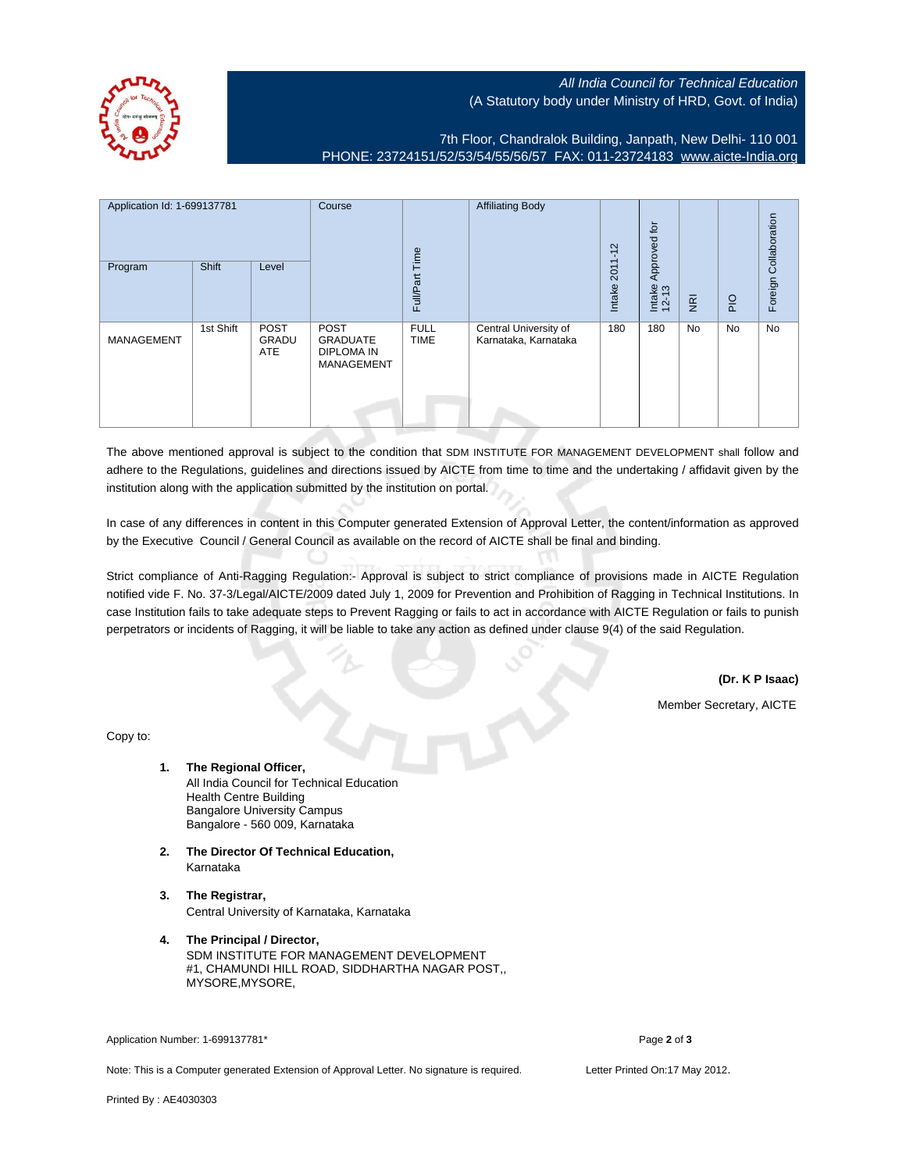All India Council for Technical Education (A Statutory body under Ministry of HRD, Govt. of India)



7th Floor, Chandralok Building, Janpath, New Delhi- 110 001 PHONE: 23724151/52/53/54/55/56/57 FAX: 011-23724183 [www.aicte-India.org](http://www.aicte-India.org)

| Application Id: 1-699137781 |              | Course                             |                                                                   | <b>Affiliating Body</b>    | $\mathbf{\Omega}$<br>$\overline{\phantom{0}}$ | ğ,                                        |                             |                |     |                       |
|-----------------------------|--------------|------------------------------------|-------------------------------------------------------------------|----------------------------|-----------------------------------------------|-------------------------------------------|-----------------------------|----------------|-----|-----------------------|
| Program                     | <b>Shift</b> | Level                              |                                                                   | Full/Part Time             |                                               | $\overline{\phantom{0}}$<br>201<br>Intake | Approved<br>Intake<br>12-13 | $\overline{g}$ | PIO | Foreign Collaboration |
| <b>MANAGEMENT</b>           | 1st Shift    | <b>POST</b><br>GRADU<br><b>ATE</b> | POST<br><b>GRADUATE</b><br><b>DIPLOMA IN</b><br><b>MANAGEMENT</b> | <b>FULL</b><br><b>TIME</b> | Central University of<br>Karnataka, Karnataka | 180                                       | 180                         | No             | No  | No                    |

The above mentioned approval is subject to the condition that SDM INSTITUTE FOR MANAGEMENT DEVELOPMENT shall follow and adhere to the Regulations, guidelines and directions issued by AICTE from time to time and the undertaking / affidavit given by the institution along with the application submitted by the institution on portal.

In case of any differences in content in this Computer generated Extension of Approval Letter, the content/information as approved by the Executive Council / General Council as available on the record of AICTE shall be final and binding.

Strict compliance of Anti-Ragging Regulation:- Approval is subject to strict compliance of provisions made in AICTE Regulation notified vide F. No. 37-3/Legal/AICTE/2009 dated July 1, 2009 for Prevention and Prohibition of Ragging in Technical Institutions. In case Institution fails to take adequate steps to Prevent Ragging or fails to act in accordance with AICTE Regulation or fails to punish perpetrators or incidents of Ragging, it will be liable to take any action as defined under clause 9(4) of the said Regulation.

**(Dr. K P Isaac)**

Member Secretary, AICTE

Copy to:

- **1. The Regional Officer,** All India Council for Technical Education Health Centre Building Bangalore University Campus Bangalore - 560 009, Karnataka
- **2. The Director Of Technical Education,** Karnataka
- **3. The Registrar,** Central University of Karnataka, Karnataka
- **4. The Principal / Director,** SDM INSTITUTE FOR MANAGEMENT DEVELOPMENT #1, CHAMUNDI HILL ROAD, SIDDHARTHA NAGAR POST,, MYSORE,MYSORE,

Application Number: 1-699137781\* Page **2** of **3**